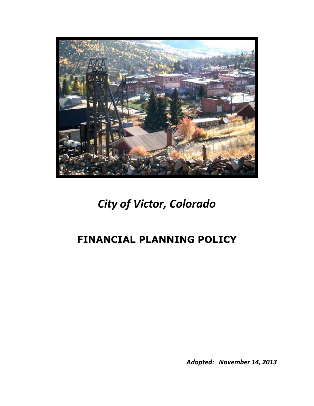

# *City of Victor, Colorado*

# **FINANCIAL PLANNING POLICY**

*Adopted: November 14, 2013*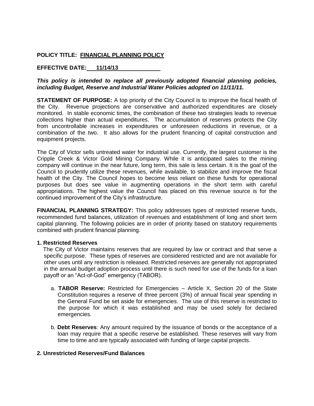# **POLICY TITLE: FINANCIAL PLANNING POLICY**

## **EFFECTIVE DATE: 11/14/13**

### *This policy is intended to replace all previously adopted financial planning policies, including Budget, Reserve and Industrial Water Policies adopted on 11/11/11.*

**STATEMENT OF PURPOSE:** A top priority of the City Council is to improve the fiscal health of the City. Revenue projections are conservative and authorized expenditures are closely monitored. In stable economic times, the combination of these two strategies leads to revenue collections higher than actual expenditures. The accumulation of reserves protects the City from uncontrollable increases in expenditures or unforeseen reductions in revenue, or a combination of the two. It also allows for the prudent financing of capital construction and equipment projects.

The City of Victor sells untreated water for industrial use. Currently, the largest customer is the Cripple Creek & Victor Gold Mining Company. While it is anticipated sales to the mining company will continue in the near future, long term, this sale is less certain. It is the goal of the Council to prudently utilize these revenues, while available, to stabilize and improve the fiscal health of the City. The Council hopes to become less reliant on these funds for operational purposes but does see value in augmenting operations in the short term with careful appropriations. The highest value the Council has placed on this revenue source is for the continued improvement of the City's infrastructure.

**FINANCIAL PLANNING STRATEGY:** This policy addresses types of restricted reserve funds, recommended fund balances, utilization of revenues and establishment of long and short term capital planning. The following policies are in order of priority based on statutory requirements combined with prudent financial planning.

#### **1. Restricted Reserves**

 The City of Victor maintains reserves that are required by law or contract and that serve a specific purpose. These types of reserves are considered restricted and are not available for other uses until any restriction is released. Restricted reserves are generally not appropriated in the annual budget adoption process until there is such need for use of the funds for a loan payoff or an "Act-of-God" emergency (TABOR).

- a. **TABOR Reserve:** Restricted for Emergencies Article X, Section 20 of the State Constitution requires a reserve of three percent (3%) of annual fiscal year spending in the General Fund be set aside for emergencies. The use of this reserve is restricted to the purpose for which it was established and may be used solely for declared emergencies.
- b. **Debt Reserves**: Any amount required by the issuance of bonds or the acceptance of a loan mav require that a specific reserve be established. These reserves will vary from time to time and are typically associated with funding of large capital projects.

#### **2. Unrestricted Reserves/Fund Balances**